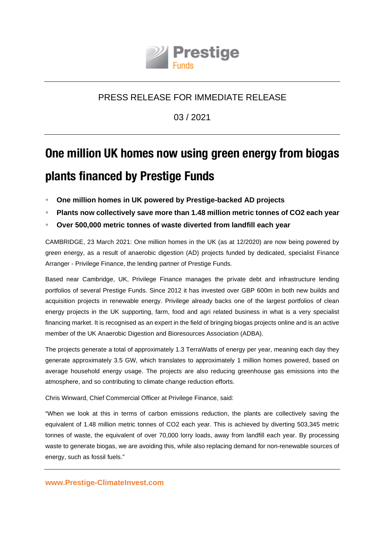

## PRESS RELEASE FOR IMMEDIATE RELEASE

03 / 2021

# **One million UK homes now using green energy from biogas plants financed by Prestige Funds**

- **One million homes in UK powered by Prestige-backed AD projects**
- **Plants now collectively save more than 1.48 million metric tonnes of CO2 each year**
- **Over 500,000 metric tonnes of waste diverted from landfill each year**

CAMBRIDGE, 23 March 2021: One million homes in the UK (as at 12/2020) are now being powered by green energy, as a result of anaerobic digestion (AD) projects funded by dedicated, specialist Finance Arranger - Privilege Finance, the lending partner of Prestige Funds.

Based near Cambridge, UK, Privilege Finance manages the private debt and infrastructure lending portfolios of several Prestige Funds. Since 2012 it has invested over GBP 600m in both new builds and acquisition projects in renewable energy. Privilege already backs one of the largest portfolios of clean energy projects in the UK supporting, farm, food and agri related business in what is a very specialist financing market. It is recognised as an expert in the field of bringing biogas projects online and is an active member of the UK Anaerobic Digestion and Bioresources Association (ADBA).

The projects generate a total of approximately 1.3 TerraWatts of energy per year, meaning each day they generate approximately 3.5 GW, which translates to approximately 1 million homes powered, based on average household energy usage. The projects are also reducing greenhouse gas emissions into the atmosphere, and so contributing to climate change reduction efforts.

Chris Winward, Chief Commercial Officer at Privilege Finance, said:

"When we look at this in terms of carbon emissions reduction, the plants are collectively saving the equivalent of 1.48 million metric tonnes of CO2 each year. This is achieved by diverting 503,345 metric tonnes of waste, the equivalent of over 70,000 lorry loads, away from landfill each year. By processing waste to generate biogas, we are avoiding this, while also replacing demand for non-renewable sources of energy, such as fossil fuels."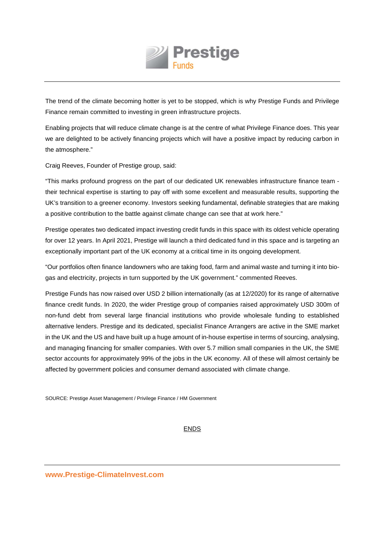

The trend of the climate becoming hotter is yet to be stopped, which is why Prestige Funds and Privilege Finance remain committed to investing in green infrastructure projects.

Enabling projects that will reduce climate change is at the centre of what Privilege Finance does. This year we are delighted to be actively financing projects which will have a positive impact by reducing carbon in the atmosphere."

Craig Reeves, Founder of Prestige group, said:

"This marks profound progress on the part of our dedicated UK renewables infrastructure finance team their technical expertise is starting to pay off with some excellent and measurable results, supporting the UK's transition to a greener economy. Investors seeking fundamental, definable strategies that are making a positive contribution to the battle against climate change can see that at work here."

Prestige operates two dedicated impact investing credit funds in this space with its oldest vehicle operating for over 12 years. In April 2021, Prestige will launch a third dedicated fund in this space and is targeting an exceptionally important part of the UK economy at a critical time in its ongoing development.

"Our portfolios often finance landowners who are taking food, farm and animal waste and turning it into biogas and electricity, projects in turn supported by the UK government." commented Reeves.

Prestige Funds has now raised over USD 2 billion internationally (as at 12/2020) for its range of alternative finance credit funds. In 2020, the wider Prestige group of companies raised approximately USD 300m of non-fund debt from several large financial institutions who provide wholesale funding to established alternative lenders. Prestige and its dedicated, specialist Finance Arrangers are active in the SME market in the UK and the US and have built up a huge amount of in-house expertise in terms of sourcing, analysing, and managing financing for smaller companies. With over 5.7 million small companies in the UK, the SME sector accounts for approximately 99% of the jobs in the UK economy. All of these will almost certainly be affected by government policies and consumer demand associated with climate change.

SOURCE: Prestige Asset Management / Privilege Finance / HM Government

#### ENDS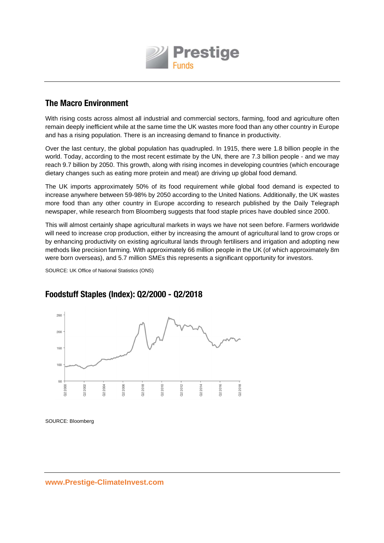

## **The Macro Environment**

With rising costs across almost all industrial and commercial sectors, farming, food and agriculture often remain deeply inefficient while at the same time the UK wastes more food than any other country in Europe and has a rising population. There is an increasing demand to finance in productivity.

Over the last century, the global population has quadrupled. In 1915, there were 1.8 billion people in the world. Today, according to the most recent estimate by the UN, there are 7.3 billion people - and we may reach 9.7 billion by 2050. This growth, along with rising incomes in developing countries (which encourage dietary changes such as eating more protein and meat) are driving up global food demand.

The UK imports approximately 50% of its food requirement while global food demand is expected to increase anywhere between 59-98% by 2050 according to the United Nations. Additionally, the UK wastes more food than any other country in Europe according to research published by the Daily Telegraph newspaper, while research from Bloomberg suggests that food staple prices have doubled since 2000.

This will almost certainly shape agricultural markets in ways we have not seen before. Farmers worldwide will need to increase crop production, either by increasing the amount of agricultural land to grow crops or by enhancing productivity on existing agricultural lands through fertilisers and irrigation and adopting new methods like precision farming. With approximately 66 million people in the UK (of which approximately 8m were born overseas), and 5.7 million SMEs this represents a significant opportunity for investors.

SOURCE: UK Office of National Statistics (ONS)



## **Foodstuff Staples (Index): Q2/2000 - Q2/2018**

SOURCE: Bloomberg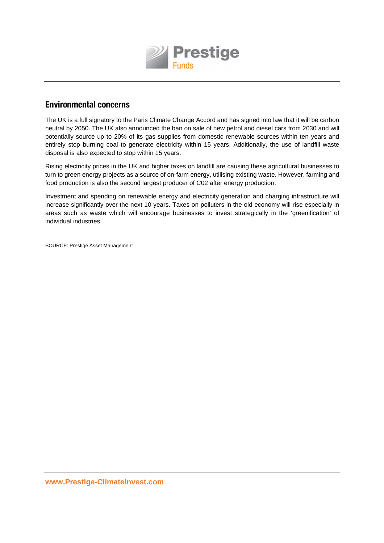

#### **Environmental concerns**

The UK is a full signatory to the Paris Climate Change Accord and has signed into law that it will be carbon neutral by 2050. The UK also announced the ban on sale of new petrol and diesel cars from 2030 and will potentially source up to 20% of its gas supplies from domestic renewable sources within ten years and entirely stop burning coal to generate electricity within 15 years. Additionally, the use of landfill waste disposal is also expected to stop within 15 years.

Rising electricity prices in the UK and higher taxes on landfill are causing these agricultural businesses to turn to green energy projects as a source of on-farm energy, utilising existing waste. However, farming and food production is also the second largest producer of C02 after energy production.

Investment and spending on renewable energy and electricity generation and charging infrastructure will increase significantly over the next 10 years. Taxes on polluters in the old economy will rise especially in areas such as waste which will encourage businesses to invest strategically in the 'greenification' of individual industries.

SOURCE: Prestige Asset Management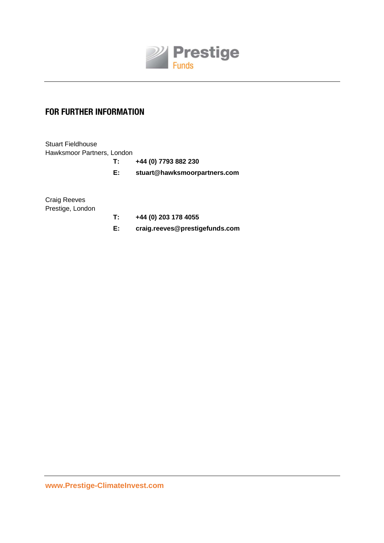

## **FOR FURTHER INFORMATION**

Stuart Fieldhouse Hawksmoor Partners, London

**T: +44 (0) 7793 882 230** 

**E: stuart@hawksmoorpartners.com** 

Craig Reeves Prestige, London

- **T: +44 (0) 203 178 4055**
- **E: craig.reeves@prestigefunds.com**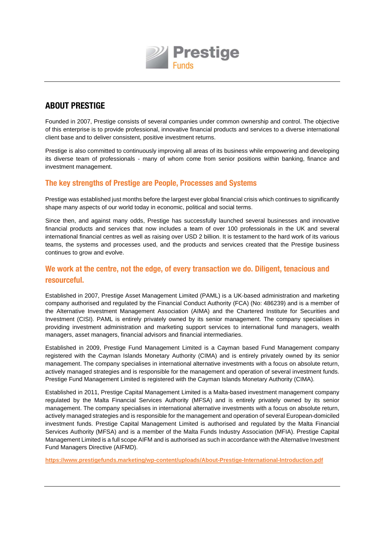

## **ABOUT PRESTIGE**

Founded in 2007, Prestige consists of several companies under common ownership and control. The objective of this enterprise is to provide professional, innovative financial products and services to a diverse international client base and to deliver consistent, positive investment returns.

Prestige is also committed to continuously improving all areas of its business while empowering and developing its diverse team of professionals - many of whom come from senior positions within banking, finance and investment management.

#### **The key strengths of Prestige are People, Processes and Systems**

Prestige was established just months before the largest ever global financial crisis which continues to significantly shape many aspects of our world today in economic, political and social terms.

Since then, and against many odds, Prestige has successfully launched several businesses and innovative financial products and services that now includes a team of over 100 professionals in the UK and several international financial centres as well as raising over USD 2 billion. It is testament to the hard work of its various teams, the systems and processes used, and the products and services created that the Prestige business continues to grow and evolve.

#### **We work at the centre, not the edge, of every transaction we do. Diligent, tenacious and resourceful.**

Established in 2007, Prestige Asset Management Limited (PAML) is a UK-based administration and marketing company authorised and regulated by the Financial Conduct Authority (FCA) (No: 486239) and is a member of the Alternative Investment Management Association (AIMA) and the Chartered Institute for Securities and Investment (CISI). PAML is entirely privately owned by its senior management. The company specialises in providing investment administration and marketing support services to international fund managers, wealth managers, asset managers, financial advisors and financial intermediaries.

Established in 2009, Prestige Fund Management Limited is a Cayman based Fund Management company registered with the Cayman Islands Monetary Authority (CIMA) and is entirely privately owned by its senior management. The company specialises in international alternative investments with a focus on absolute return, actively managed strategies and is responsible for the management and operation of several investment funds. Prestige Fund Management Limited is registered with the Cayman Islands Monetary Authority (CIMA).

Established in 2011, Prestige Capital Management Limited is a Malta-based investment management company regulated by the Malta Financial Services Authority (MFSA) and is entirely privately owned by its senior management. The company specialises in international alternative investments with a focus on absolute return, actively managed strategies and is responsible for the management and operation of several European-domiciled investment funds. Prestige Capital Management Limited is authorised and regulated by the Malta Financial Services Authority (MFSA) and is a member of the Malta Funds Industry Association (MFIA). Prestige Capital Management Limited is a full scope AIFM and is authorised as such in accordance with the Alternative Investment Fund Managers Directive (AIFMD).

**https://www.prestigefunds.marketing/wp-content/uploads/About-Prestige-International-Introduction.pdf**